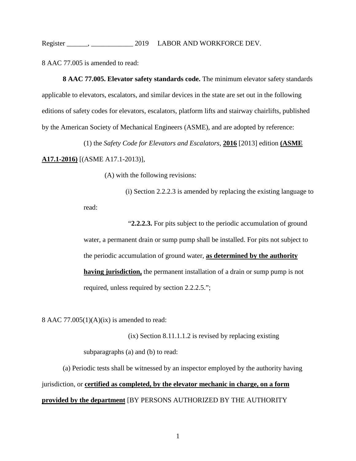8 AAC 77.005 is amended to read:

**8 AAC 77.005. Elevator safety standards code.** The minimum elevator safety standards applicable to elevators, escalators, and similar devices in the state are set out in the following editions of safety codes for elevators, escalators, platform lifts and stairway chairlifts, published by the American Society of Mechanical Engineers (ASME), and are adopted by reference:

(1) the *Safety Code for Elevators and Escalators*, **2016** [2013] edition **(ASME A17.1-2016)** [(ASME A17.1-2013)],

(A) with the following revisions:

(i) Section 2.2.2.3 is amended by replacing the existing language to read:

"**2.2.2.3.** For pits subject to the periodic accumulation of ground water, a permanent drain or sump pump shall be installed. For pits not subject to the periodic accumulation of ground water, **as determined by the authority having jurisdiction,** the permanent installation of a drain or sump pump is not required, unless required by section 2.2.2.5.";

8 AAC  $77.005(1)(A)(ix)$  is amended to read:

(ix) Section 8.11.1.1.2 is revised by replacing existing subparagraphs (a) and (b) to read:

(a) Periodic tests shall be witnessed by an inspector employed by the authority having jurisdiction, or **certified as completed, by the elevator mechanic in charge, on a form provided by the department** [BY PERSONS AUTHORIZED BY THE AUTHORITY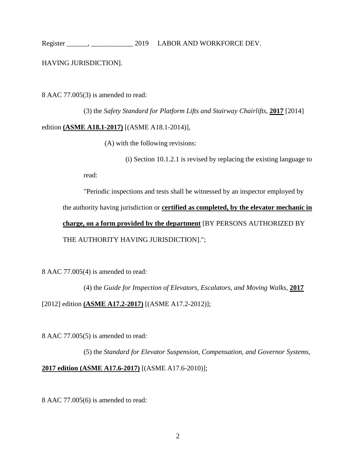### HAVING JURISDICTION].

8 AAC 77.005(3) is amended to read:

(3) the *Safety Standard for Platform Lifts and Stairway Chairlifts*, **2017** [2014]

#### edition **(ASME A18.1-2017)** [(ASME A18.1-2014)],

(A) with the following revisions:

(i) Section 10.1.2.1 is revised by replacing the existing language to

read:

"Periodic inspections and tests shall be witnessed by an inspector employed by the authority having jurisdiction or **certified as completed, by the elevator mechanic in charge, on a form provided by the department** [BY PERSONS AUTHORIZED BY THE AUTHORITY HAVING JURISDICTION].";

8 AAC 77.005(4) is amended to read:

(4) the *Guide for Inspection of Elevators, Escalators, and Moving Walks*, **2017** [2012] edition **(ASME A17.2-2017)** [(ASME A17.2-2012)];

8 AAC 77.005(5) is amended to read:

(5) the *Standard for Elevator Suspension, Compensation, and Governor Systems*, **2017 edition (ASME A17.6-2017)** [(ASME A17.6-2010)];

8 AAC 77.005(6) is amended to read: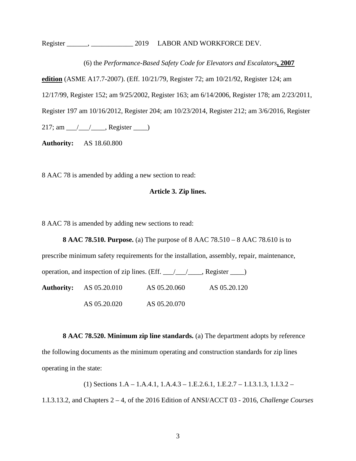(6) the *Performance-Based Safety Code for Elevators and Escalators***, 2007**

**edition** (ASME A17.7-2007). (Eff. 10/21/79, Register 72; am 10/21/92, Register 124; am

12/17/99, Register 152; am 9/25/2002, Register 163; am 6/14/2006, Register 178; am 2/23/2011,

Register 197 am 10/16/2012, Register 204; am 10/23/2014, Register 212; am 3/6/2016, Register

 $217$ ; am  $\angle$  /  $\angle$ , Register  $\angle$ 

**Authority:** AS 18.60.800

8 AAC 78 is amended by adding a new section to read:

### **Article 3. Zip lines.**

8 AAC 78 is amended by adding new sections to read:

**8 AAC 78.510. Purpose.** (a) The purpose of 8 AAC 78.510 – 8 AAC 78.610 is to

|                                |                                                                                          | prescribe minimum safety requirements for the installation, assembly, repair, maintenance, |  |
|--------------------------------|------------------------------------------------------------------------------------------|--------------------------------------------------------------------------------------------|--|
|                                | operation, and inspection of zip lines. (Eff. $\angle$ / $\angle$ /, Register $\angle$ ) |                                                                                            |  |
| <b>Authority:</b> AS 05.20.010 | AS 05.20.060                                                                             | AS 05.20.120                                                                               |  |
| AS 05.20.020                   | AS 05.20.070                                                                             |                                                                                            |  |

**8 AAC 78.520. Minimum zip line standards.** (a) The department adopts by reference the following documents as the minimum operating and construction standards for zip lines operating in the state:

(1) Sections 1.A – 1.A.4.1, 1.A.4.3 – 1.E.2.6.1, 1.E.2.7 – 1.I.3.1.3, 1.I.3.2 – 1.I.3.13.2, and Chapters 2 – 4, of the 2016 Edition of ANSI/ACCT 03 - 2016, *Challenge Courses*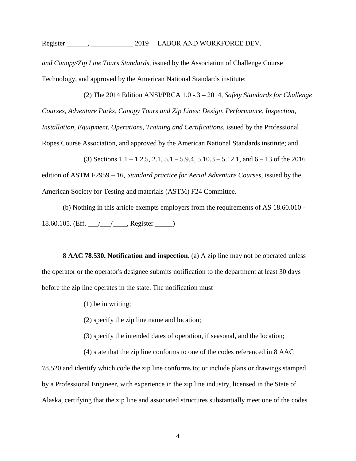*and Canopy/Zip Line Tours Standards*, issued by the Association of Challenge Course Technology, and approved by the American National Standards institute;

(2) The 2014 Edition ANSI/PRCA 1.0 -.3 – 2014, *Safety Standards for Challenge Courses, Adventure Parks, Canopy Tours and Zip Lines: Design, Performance, Inspection, Installation, Equipment, Operations, Training and Certifications*, issued by the Professional Ropes Course Association, and approved by the American National Standards institute; and

(3) Sections  $1.1 - 1.2.5$ ,  $2.1$ ,  $5.1 - 5.9.4$ ,  $5.10.3 - 5.12.1$ , and  $6 - 13$  of the 2016 edition of ASTM F2959 – 16, *Standard practice for Aerial Adventure Courses*, issued by the American Society for Testing and materials (ASTM) F24 Committee.

(b) Nothing in this article exempts employers from the requirements of AS 18.60.010 - 18.60.105. (Eff. \_\_\_/\_\_\_/\_\_\_\_, Register \_\_\_\_\_)

**8 AAC 78.530. Notification and inspection.** (a) A zip line may not be operated unless the operator or the operator's designee submits notification to the department at least 30 days before the zip line operates in the state. The notification must

- (1) be in writing;
- (2) specify the zip line name and location;
- (3) specify the intended dates of operation, if seasonal, and the location;
- (4) state that the zip line conforms to one of the codes referenced in 8 AAC

78.520 and identify which code the zip line conforms to; or include plans or drawings stamped by a Professional Engineer, with experience in the zip line industry, licensed in the State of Alaska, certifying that the zip line and associated structures substantially meet one of the codes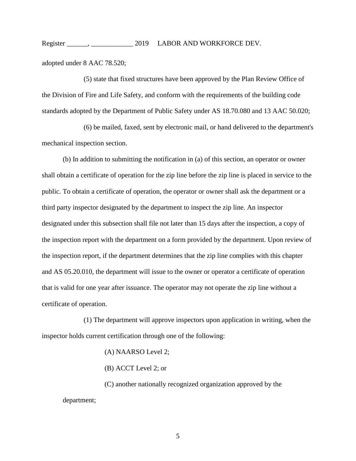adopted under 8 AAC 78.520;

(5) state that fixed structures have been approved by the Plan Review Office of the Division of Fire and Life Safety, and conform with the requirements of the building code standards adopted by the Department of Public Safety under AS 18.70.080 and 13 AAC 50.020;

(6) be mailed, faxed, sent by electronic mail, or hand delivered to the department's mechanical inspection section.

(b) In addition to submitting the notification in (a) of this section, an operator or owner shall obtain a certificate of operation for the zip line before the zip line is placed in service to the public. To obtain a certificate of operation, the operator or owner shall ask the department or a third party inspector designated by the department to inspect the zip line. An inspector designated under this subsection shall file not later than 15 days after the inspection, a copy of the inspection report with the department on a form provided by the department. Upon review of the inspection report, if the department determines that the zip line complies with this chapter and AS 05.20.010, the department will issue to the owner or operator a certificate of operation that is valid for one year after issuance. The operator may not operate the zip line without a certificate of operation.

(1) The department will approve inspectors upon application in writing, when the inspector holds current certification through one of the following:

(A) NAARSO Level 2;

(B) ACCT Level 2; or

(C) another nationally recognized organization approved by the department;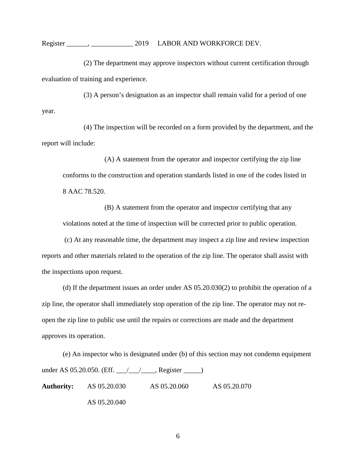(2) The department may approve inspectors without current certification through evaluation of training and experience.

(3) A person's designation as an inspector shall remain valid for a period of one year.

(4) The inspection will be recorded on a form provided by the department, and the report will include:

(A) A statement from the operator and inspector certifying the zip line conforms to the construction and operation standards listed in one of the codes listed in 8 AAC 78.520.

(B) A statement from the operator and inspector certifying that any violations noted at the time of inspection will be corrected prior to public operation.

(c) At any reasonable time, the department may inspect a zip line and review inspection reports and other materials related to the operation of the zip line. The operator shall assist with the inspections upon request.

(d) If the department issues an order under AS 05.20.030(2) to prohibit the operation of a zip line, the operator shall immediately stop operation of the zip line. The operator may not reopen the zip line to public use until the repairs or corrections are made and the department approves its operation.

(e) An inspector who is designated under (b) of this section may not condemn equipment under AS 05.20.050. (Eff. \_\_\_/\_\_\_/\_\_\_\_, Register \_\_\_\_\_) **Authority:** AS 05.20.030 AS 05.20.060 AS 05.20.070 AS 05.20.040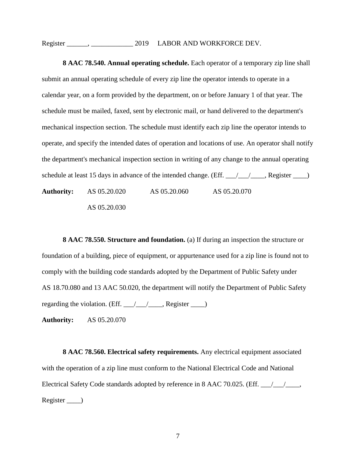**8 AAC 78.540. Annual operating schedule.** Each operator of a temporary zip line shall submit an annual operating schedule of every zip line the operator intends to operate in a calendar year, on a form provided by the department, on or before January 1 of that year. The schedule must be mailed, faxed, sent by electronic mail, or hand delivered to the department's mechanical inspection section. The schedule must identify each zip line the operator intends to operate, and specify the intended dates of operation and locations of use. An operator shall notify the department's mechanical inspection section in writing of any change to the annual operating schedule at least 15 days in advance of the intended change. (Eff. 14.4, 2008). Register 16.2, 2008. **Authority:** AS 05.20.020 AS 05.20.060 AS 05.20.070 AS 05.20.030

**8 AAC 78.550. Structure and foundation.** (a) If during an inspection the structure or foundation of a building, piece of equipment, or appurtenance used for a zip line is found not to comply with the building code standards adopted by the Department of Public Safety under AS 18.70.080 and 13 AAC 50.020, the department will notify the Department of Public Safety regarding the violation. (Eff.  $\angle$  / $\angle$  / $\angle$ , Register  $\angle$ )

**Authority:** AS 05.20.070

**8 AAC 78.560. Electrical safety requirements.** Any electrical equipment associated with the operation of a zip line must conform to the National Electrical Code and National Electrical Safety Code standards adopted by reference in 8 AAC 70.025. (Eff.  $\angle$ Register \_\_\_\_)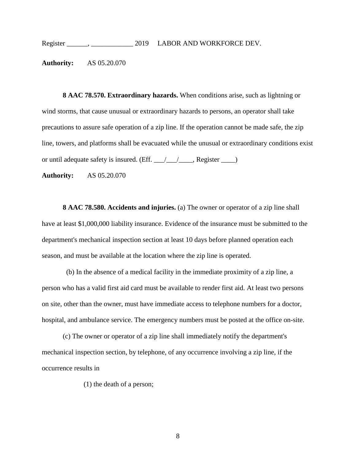**Authority:** AS 05.20.070

**8 AAC 78.570. Extraordinary hazards.** When conditions arise, such as lightning or wind storms, that cause unusual or extraordinary hazards to persons, an operator shall take precautions to assure safe operation of a zip line. If the operation cannot be made safe, the zip line, towers, and platforms shall be evacuated while the unusual or extraordinary conditions exist or until adequate safety is insured. (Eff. 14.14 million Register 14.14 million Register 2.14 million Register 2.14 million Register 2.14 million Register 2.14 million Register 2.14 million Register 2.14 million Register 2

**Authority:** AS 05.20.070

**8 AAC 78.580. Accidents and injuries.** (a) The owner or operator of a zip line shall have at least \$1,000,000 liability insurance. Evidence of the insurance must be submitted to the department's mechanical inspection section at least 10 days before planned operation each season, and must be available at the location where the zip line is operated.

(b) In the absence of a medical facility in the immediate proximity of a zip line, a person who has a valid first aid card must be available to render first aid. At least two persons on site, other than the owner, must have immediate access to telephone numbers for a doctor, hospital, and ambulance service. The emergency numbers must be posted at the office on-site.

(c) The owner or operator of a zip line shall immediately notify the department's mechanical inspection section, by telephone, of any occurrence involving a zip line, if the occurrence results in

(1) the death of a person;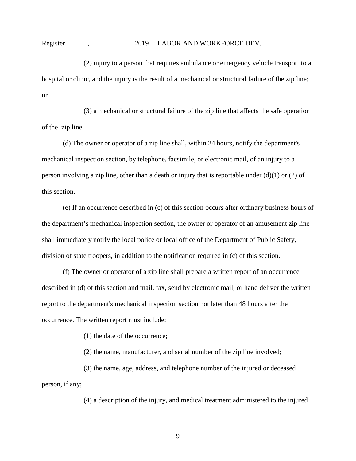(2) injury to a person that requires ambulance or emergency vehicle transport to a hospital or clinic, and the injury is the result of a mechanical or structural failure of the zip line; or

(3) a mechanical or structural failure of the zip line that affects the safe operation of the zip line.

(d) The owner or operator of a zip line shall, within 24 hours, notify the department's mechanical inspection section, by telephone, facsimile, or electronic mail, of an injury to a person involving a zip line, other than a death or injury that is reportable under  $(d)(1)$  or  $(2)$  of this section.

(e) If an occurrence described in (c) of this section occurs after ordinary business hours of the department's mechanical inspection section, the owner or operator of an amusement zip line shall immediately notify the local police or local office of the Department of Public Safety, division of state troopers, in addition to the notification required in (c) of this section.

(f) The owner or operator of a zip line shall prepare a written report of an occurrence described in (d) of this section and mail, fax, send by electronic mail, or hand deliver the written report to the department's mechanical inspection section not later than 48 hours after the occurrence. The written report must include:

(1) the date of the occurrence;

(2) the name, manufacturer, and serial number of the zip line involved;

(3) the name, age, address, and telephone number of the injured or deceased person, if any;

(4) a description of the injury, and medical treatment administered to the injured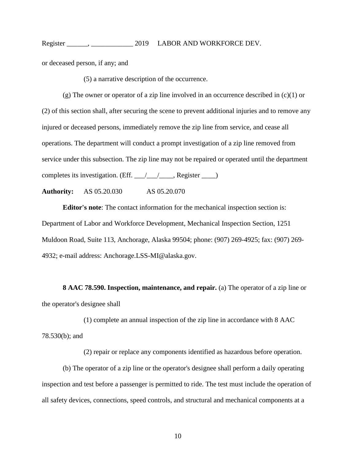or deceased person, if any; and

(5) a narrative description of the occurrence.

 $(g)$  The owner or operator of a zip line involved in an occurrence described in  $(c)(1)$  or (2) of this section shall, after securing the scene to prevent additional injuries and to remove any injured or deceased persons, immediately remove the zip line from service, and cease all operations. The department will conduct a prompt investigation of a zip line removed from service under this subsection. The zip line may not be repaired or operated until the department completes its investigation. (Eff. \_\_\_/\_\_\_/\_\_\_\_, Register \_\_\_\_)

**Authority:** AS 05.20.030 AS 05.20.070

**Editor's note**: The contact information for the mechanical inspection section is: Department of Labor and Workforce Development, Mechanical Inspection Section, 1251 Muldoon Road, Suite 113, Anchorage, Alaska 99504; phone: (907) 269-4925; fax: (907) 269- 4932; e-mail address: Anchorage.LSS-MI@alaska.gov.

**8 AAC 78.590. Inspection, maintenance, and repair.** (a) The operator of a zip line or the operator's designee shall

(1) complete an annual inspection of the zip line in accordance with 8 AAC 78.530(b); and

(2) repair or replace any components identified as hazardous before operation.

(b) The operator of a zip line or the operator's designee shall perform a daily operating inspection and test before a passenger is permitted to ride. The test must include the operation of all safety devices, connections, speed controls, and structural and mechanical components at a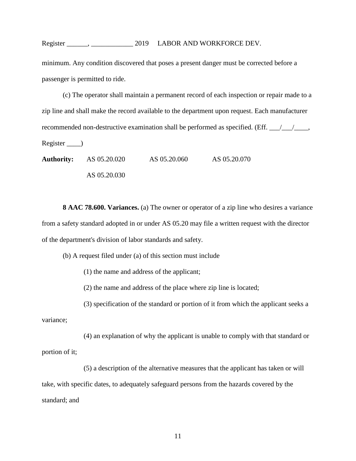minimum. Any condition discovered that poses a present danger must be corrected before a passenger is permitted to ride.

(c) The operator shall maintain a permanent record of each inspection or repair made to a zip line and shall make the record available to the department upon request. Each manufacturer recommended non-destructive examination shall be performed as specified. (Eff.  $\frac{1}{\sqrt{2}}$ Register \_\_\_\_) **Authority:** AS 05.20.020 AS 05.20.060 AS 05.20.070

AS 05.20.030

**8 AAC 78.600. Variances.** (a) The owner or operator of a zip line who desires a variance from a safety standard adopted in or under AS 05.20 may file a written request with the director of the department's division of labor standards and safety.

(b) A request filed under (a) of this section must include

(1) the name and address of the applicant;

(2) the name and address of the place where zip line is located;

(3) specification of the standard or portion of it from which the applicant seeks a

variance;

(4) an explanation of why the applicant is unable to comply with that standard or portion of it;

(5) a description of the alternative measures that the applicant has taken or will take, with specific dates, to adequately safeguard persons from the hazards covered by the standard; and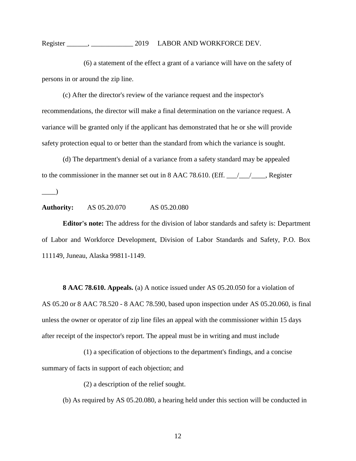(6) a statement of the effect a grant of a variance will have on the safety of persons in or around the zip line.

(c) After the director's review of the variance request and the inspector's recommendations, the director will make a final determination on the variance request. A variance will be granted only if the applicant has demonstrated that he or she will provide safety protection equal to or better than the standard from which the variance is sought.

(d) The department's denial of a variance from a safety standard may be appealed to the commissioner in the manner set out in 8 AAC 78.610. (Eff.  $\frac{1}{\sqrt{2}}$ , Register  $\qquad \qquad$ 

**Authority:** AS 05.20.070 AS 05.20.080

**Editor's note:** The address for the division of labor standards and safety is: Department of Labor and Workforce Development, Division of Labor Standards and Safety, P.O. Box 111149, Juneau, Alaska 99811-1149.

**8 AAC 78.610. Appeals.** (a) A notice issued under AS 05.20.050 for a violation of AS 05.20 or 8 AAC 78.520 - 8 AAC 78.590, based upon inspection under AS 05.20.060, is final unless the owner or operator of zip line files an appeal with the commissioner within 15 days after receipt of the inspector's report. The appeal must be in writing and must include

(1) a specification of objections to the department's findings, and a concise summary of facts in support of each objection; and

(2) a description of the relief sought.

(b) As required by AS 05.20.080, a hearing held under this section will be conducted in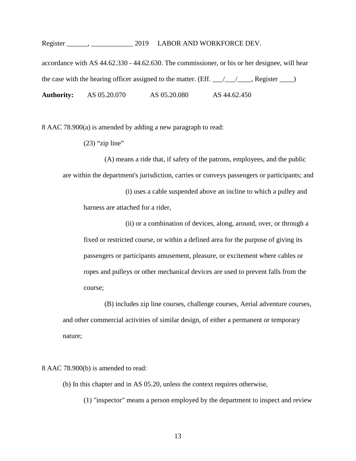accordance with AS 44.62.330 - 44.62.630. The commissioner, or his or her designee, will hear the case with the hearing officer assigned to the matter. (Eff.  $\angle$  /  $\angle$  /  $\angle$ , Register  $\angle$ ) **Authority:** AS 05.20.070 AS 05.20.080 AS 44.62.450

8 AAC 78.900(a) is amended by adding a new paragraph to read:

 $(23)$  "zip line"

(A) means a ride that, if safety of the patrons, employees, and the public are within the department's jurisdiction, carries or conveys passengers or participants; and

(i) uses a cable suspended above an incline to which a pulley and harness are attached for a rider,

(ii) or a combination of devices, along, around, over, or through a fixed or restricted course, or within a defined area for the purpose of giving its passengers or participants amusement, pleasure, or excitement where cables or ropes and pulleys or other mechanical devices are used to prevent falls from the course;

(B) includes zip line courses, challenge courses, Aerial adventure courses, and other commercial activities of similar design, of either a permanent or temporary nature;

8 AAC 78.900(b) is amended to read:

(b) In this chapter and in AS 05.20, unless the context requires otherwise,

(1) "inspector" means a person employed by the department to inspect and review